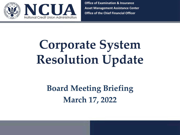

**Office of Examination & Insurance Asset Management Assistance Center Office of the Chief Financial Officer** 

# **Corporate System Resolution Update**

# **Board Meeting Briefing March 17, 2022**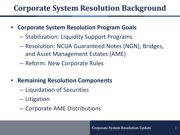### **Corporate System Resolution Background**

- **Corporate System Resolution Program Goals** 
	- Stabilization: Liquidity Support Programs
	- – Resolution: NCUA Guaranteed Notes (NGN), Bridges, and Asset Management Estates (AME)
	- Reform: New Corporate Rules
- **Remaining Resolution Components** 
	- Liquidation of Securities
	- Litigation
	- Corporate AME Distributions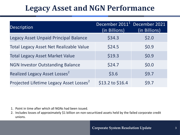### **Legacy Asset and NGN Performance**

| <b>Description</b>                                  | December 2011 <sup>1</sup><br>(in Billions) | December 2021<br>(in Billions) |
|-----------------------------------------------------|---------------------------------------------|--------------------------------|
| Legacy Asset Unpaid Principal Balance               | \$34.3                                      | \$2.0                          |
| <b>Total Legacy Asset Net Realizable Value</b>      | \$24.5                                      | \$0.9                          |
| <b>Total Legacy Asset Market Value</b>              | \$19.3                                      | \$0.9                          |
| <b>NGN Investor Outstanding Balance</b>             | \$24.7                                      | \$0.0                          |
| Realized Legacy Asset Losses <sup>2</sup>           | \$3.6                                       | \$9.7                          |
| Projected Lifetime Legacy Asset Losses <sup>2</sup> | $$13.2$$ to $$16.4$$                        | \$9.7                          |

- 1. Point in time after which all NGNs had been issued.
- 2. Includes losses of approximately \$1 billion on non-securitized assets held by the failed corporate credit unions.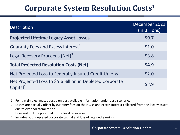### **Corporate System Resolution Costs1**

| Description                                                                       | December 2021<br>(in Billions) |
|-----------------------------------------------------------------------------------|--------------------------------|
| <b>Projected Lifetime Legacy Asset Losses</b>                                     | \$9.7                          |
| Guaranty Fees and Excess Interest <sup>2</sup>                                    | \$1.0                          |
| Legal Recovery Proceeds (Net) <sup>3</sup>                                        | \$3.8                          |
| <b>Total Projected Resolution Costs (Net)</b>                                     | \$4.9                          |
| Net Projected Loss to Federally Insured Credit Unions                             | \$2.0                          |
| Net Projected Loss to \$5.6 Billion in Depleted Corporate<br>Capital <sup>4</sup> | \$2.9                          |

- 1. Point in time estimates based on best available information under base scenario.
- 2. Losses are partially offset by guaranty fees on the NGNs and excess interest collected from the legacy assets due to over-collateralization.
- 3. Does not include potential future legal recoveries.
- 4. Includes both depleted corporate capital and loss of retained earnings.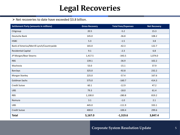## **Legal Recoveries**

#### $\triangleright$  Net recoveries to date have exceeded \$3.8 billion.

| <b>Settlement Party (amounts in millions)</b> | <b>Gross Recovery</b> | <b>Total Fees/Expenses</b> | <b>Net Recovery</b> |
|-----------------------------------------------|-----------------------|----------------------------|---------------------|
| Citigroup                                     | 20.5                  | $-5.2$                     | 15.3                |
| Deutsche Bank                                 | 145.0                 | $-36.8$                    | 108.2               |
| <b>HSBC</b>                                   | 5.3                   | $-1.5$                     | 3.8                 |
| Bank of America/Merrill Lynch/Countrywide     | 165.0                 | $-42.3$                    | 122.7               |
| <b>Residential Capital</b>                    | 9.1                   | $-2.3$                     | 6.8                 |
| JP Morgan/Bear Stearns                        | 1,417.5               | $-343.5$                   | 1,074.0             |
| <b>RBS</b>                                    | 139.1                 | $-36.9$                    | 102.2               |
| Wachovia                                      | 53.0                  | $-15.1$                    | 37.9                |
| <b>Barclays</b>                               | 325.0                 | $-92.8$                    | 232.2               |
| Morgan Stanley                                | 225.0                 | $-57.4$                    | 167.6               |
| <b>Goldman Sachs</b>                          | 575.0                 | $-160.7$                   | 414.3               |
| Credit Suisse                                 | 60.1                  | $-12.9$                    | 47.2                |
| <b>UBS</b>                                    | 79.3                  | $-18.0$                    | 61.4                |
| <b>RBS</b>                                    | 1,100.0               | $-280.8$                   | 819.2               |
| Nomura                                        | 3.1                   | $-1.0$                     | 2.1                 |
| <b>UBS</b>                                    | 445.0                 | $-111.9$                   | 333.1               |
| Credit Suisse                                 | 400.0                 | $-100.4$                   | 299.6               |
| <b>Total</b>                                  | 5,167.0               | $-1,319.6$                 | 3,847.4             |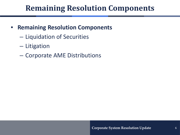### **Remaining Resolution Components**

- **Remaining Resolution Components** 
	- Liquidation of Securities
	- Litigation
	- Corporate AME Distributions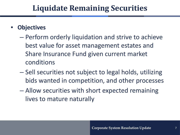### **Liquidate Remaining Securities**

### • **Objectives**

- – Perform orderly liquidation and strive to achieve best value for asset management estates and Share Insurance Fund given current market conditions
- – Sell securities not subject to legal holds, utilizing bids wanted in competition, and other processes
- – Allow securities with short expected remaining lives to mature naturally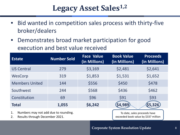### **Legacy Asset Sales1,2**

- • Bid wanted in competition sales process with thirty-five broker/dealers
- • Demonstrates broad market participation for good execution and best value received

| <b>Estate</b>         | <b>Number Sold</b> | <b>Face Value</b><br>(in Millions) | <b>Book Value</b><br>(in Millions) | <b>Proceeds</b><br>(in Millions) |
|-----------------------|--------------------|------------------------------------|------------------------------------|----------------------------------|
| <b>US Central</b>     | 279                | \$3,169                            | \$2,481                            | \$2,641                          |
| WesCorp               | 319                | \$1,853                            | \$1,531                            | \$1,652                          |
| <b>Members United</b> | 144                | \$556                              | \$450                              | \$478                            |
| Southwest             | 244                | \$568                              | \$436                              | \$462                            |
| Constitution          | 69                 | \$96                               | \$91                               | \$93                             |
| <b>Total</b>          | 1,055              | \$6,242                            | 4,989)                             | \$5,326                          |

- 1. Numbers may not add due to rounding.
- 2. Results through December 2021.

 exceeded book value by \$337 million To date, sales proceeds have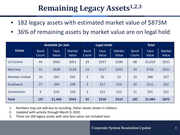### **Remaining Legacy Assets**<sup>1,2,3</sup>

- 182 legacy assets with estimated market value of \$873M
- 36% of remaining assets by market value are on legal hold

|                      | <b>Available for Sale</b> |                      | <b>Legal Holds</b>     |                      |               | <b>Total</b>    |                      |               |                        |
|----------------------|---------------------------|----------------------|------------------------|----------------------|---------------|-----------------|----------------------|---------------|------------------------|
| <b>Estate</b>        | <b>Bond</b><br>Count      | <b>Face</b><br>Value | <b>Market</b><br>Value | <b>Bond</b><br>Count | Face<br>Value | Market<br>Value | <b>Bond</b><br>Count | Face<br>Value | <b>Market</b><br>Value |
| <b>US Central</b>    | 44                        | \$662                | \$351                  | 24                   | \$357         | \$180           | 68                   | \$1,019       | \$531                  |
| WesCorp              | 31                        | \$628                | \$129                  | 23                   | \$127         | \$102           | 54                   | \$755         | \$231                  |
| <b>Member United</b> | 16                        | \$63                 | \$35                   | 3                    | \$5           | \$2             | 19                   | \$68          | \$37                   |
| Southwest            | 27                        | \$94                 | \$38                   | 3                    | \$17          | \$14            | 30                   | \$111         | \$52                   |
| Constitution         | 9                         | \$19                 | \$10                   | $\overline{2}$       | \$12          | \$12            | 11                   | \$31          | \$22                   |
| <b>Total</b>         | 127                       | \$1,466              | \$563                  | 55                   | \$518         | \$310           | 182                  | \$1,984       | \$873                  |

- 1. Numbers may not add due to rounding. Dollar values shown in millions.
- 2. Updated with activity through March 9, 2022.
- 3. There are 260 legacy assets with zero face value not included here.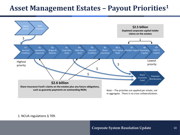### **Asset Management Estates – Payout Priorities1**



1. NCUA regulations § 709.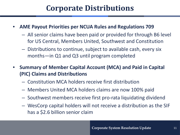### **Corporate Distributions**

- **AME Payout Priorities per NCUA Rules and Regulations 709** 
	- – All senior claims have been paid or provided for through B6 level for US Central, Members United, Southwest and Constitution
	- – Distributions to continue, subject to available cash, every six months—in Q1 and Q3 until program completed
- **Summary of Member Capital Account (MCA) and Paid in Capital (PIC) Claims and Distributions** 
	- Constitution MCA holders receive first distribution
	- Members United MCA holders claims are now 100% paid
	- Southwest members receive first pro-rata liquidating dividend
	- – WesCorp capital holders will not receive a distribution as the SIF has a \$2.6 billion senior claim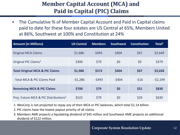### **Paid in Capital (PIC) Claims Member Capital Account (MCA) and**

 • The Cumulative % of Member Capital Account and Paid in Capital claims paid to date for these four estates are US Central at 65%, Members United at 86%, Southwest at 100% and Constitution at 24%

| <b>Amount (in Millions)</b>                       | <b>US Central</b> | <b>Members</b> | <b>Southwest</b> | <b>Constitution</b> | Total $1$ |
|---------------------------------------------------|-------------------|----------------|------------------|---------------------|-----------|
| <b>Original MCA Claims</b>                        | \$1,686           | \$493          | \$404            | \$67                | \$2,649   |
| Original PIC Claims <sup>2</sup>                  | \$300             | \$79           | \$0              | \$0                 | \$379     |
| <b>Total Original MCA &amp; PIC Claims</b>        | \$1,986           | \$572          | \$404            | \$67                | \$3,028   |
| - Total MCA & PIC Claims Paid                     | $-51,286$         | $-5493$        | $-5404$          | $-516$              | $-52,199$ |
| <b>Remaining MCA &amp; PIC Claims</b>             | \$700             | \$79           | \$0              | \$51                | \$830     |
| Proj. Future MCA & PIC Distributions <sup>3</sup> | \$522             | \$79           | \$0              | \$29                | \$630     |

- 1. WesCorp is not projected to repay any of their MCA or PIC balances, which total \$1.14 billion.
- 2. PIC claims have the lowest payout priority of all claims.
- 3. Members AME projects a liquidating dividend of \$45 million and Southwest AME projects an additional dividend of \$122 million.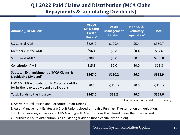#### **Q1 2022 Paid Claims and Distribution (MCA Claim Repayments & Liquidating Dividends)**

| <b>Amount (\$ in Millions)</b>                                                           | <b>Active</b><br><b>NP &amp; Corp</b><br><b>Credit</b><br>Unions $1$ | <b>Asset</b><br><b>Management</b><br>Estates <sup>2</sup> | <b>Non-CU &amp;</b><br><b>Voluntary</b><br>Liquidation <sup>3</sup> | <b>Total</b> |
|------------------------------------------------------------------------------------------|----------------------------------------------------------------------|-----------------------------------------------------------|---------------------------------------------------------------------|--------------|
| <b>US Central AME</b>                                                                    | \$225.9                                                              | \$129.4                                                   | \$5.4                                                               | \$360.7      |
| <b>Members United AME</b>                                                                | \$96.4                                                               | \$0.8\$                                                   | \$0.4\$                                                             | \$97.6       |
| Southwest AME <sup>4</sup>                                                               | \$208.9                                                              | \$0.0\$                                                   | \$0.9                                                               | \$209.8      |
| <b>Constitution AME</b>                                                                  | \$15.8                                                               | \$0.0\$                                                   | \$0.0\$                                                             | \$15.8       |
| <b>Subtotal: Extinguishment of MCA Claims &amp;</b><br>Liquidating Dividend <sup>4</sup> | \$547.0                                                              | \$130.2                                                   | \$6.7                                                               | \$683.9      |
| USC AME MCA distribution to Corporate AMEs<br>for further capital/dividend distributions | \$0.0\$                                                              | $-5114.9$                                                 | \$0.0\$                                                             | $-5114.9$    |
| <b>Total: Funds to the industry</b>                                                      | \$547.0                                                              | \$15.2                                                    | \$6.7                                                               | \$569.0      |

\*Amounts may not add due to rounding

1. Active Natural Person and Corporate Credit Unions

2. Asset Management Estates are Credit Unions closed through a Purchase & Assumption or liquidation.

2. Abset Management Estates are erealt onlons closed through a Farennstrie Adosamption or inquidational corporation<br>3. Includes leagues, affiliates and CUSOs along with Credit Unions that closed under their own accord.

**Distribution Update** 4. Southwest AME's distribution is a liquidating dividend (not a capital distribution).